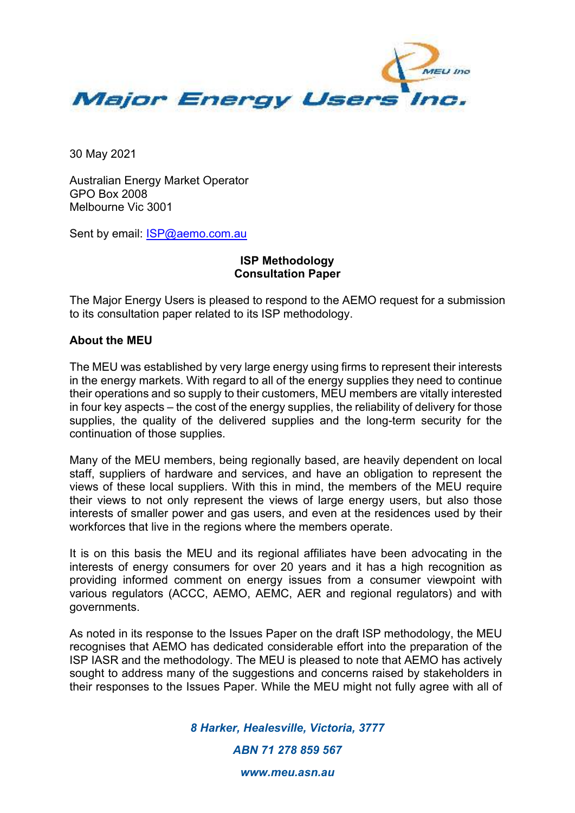

30 May 2021

Australian Energy Market Operator GPO Box 2008 Melbourne Vic 3001

Sent by email: **ISP@aemo.com.au** 

## **ISP Methodology Consultation Paper**

The Major Energy Users is pleased to respond to the AEMO request for a submission to its consultation paper related to its ISP methodology.

## **About the MEU**

The MEU was established by very large energy using firms to represent their interests in the energy markets. With regard to all of the energy supplies they need to continue their operations and so supply to their customers, MEU members are vitally interested in four key aspects – the cost of the energy supplies, the reliability of delivery for those supplies, the quality of the delivered supplies and the long-term security for the continuation of those supplies.

Many of the MEU members, being regionally based, are heavily dependent on local staff, suppliers of hardware and services, and have an obligation to represent the views of these local suppliers. With this in mind, the members of the MEU require their views to not only represent the views of large energy users, but also those interests of smaller power and gas users, and even at the residences used by their workforces that live in the regions where the members operate.

It is on this basis the MEU and its regional affiliates have been advocating in the interests of energy consumers for over 20 years and it has a high recognition as providing informed comment on energy issues from a consumer viewpoint with various regulators (ACCC, AEMO, AEMC, AER and regional regulators) and with governments.

As noted in its response to the Issues Paper on the draft ISP methodology, the MEU recognises that AEMO has dedicated considerable effort into the preparation of the ISP IASR and the methodology. The MEU is pleased to note that AEMO has actively sought to address many of the suggestions and concerns raised by stakeholders in their responses to the Issues Paper. While the MEU might not fully agree with all of

*8 Harker, Healesville, Victoria, 3777* 

*ABN 71 278 859 567* 

*www.meu.asn.au*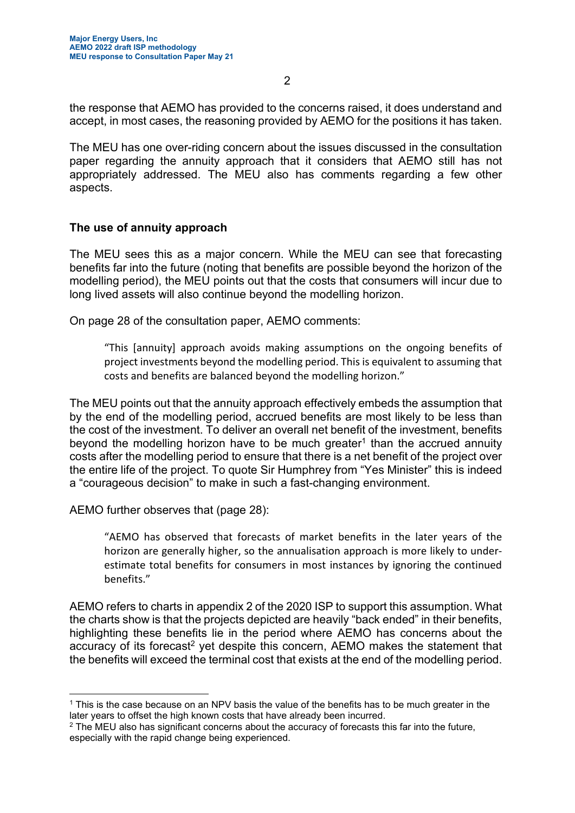the response that AEMO has provided to the concerns raised, it does understand and accept, in most cases, the reasoning provided by AEMO for the positions it has taken.

The MEU has one over-riding concern about the issues discussed in the consultation paper regarding the annuity approach that it considers that AEMO still has not appropriately addressed. The MEU also has comments regarding a few other aspects.

## **The use of annuity approach**

The MEU sees this as a major concern. While the MEU can see that forecasting benefits far into the future (noting that benefits are possible beyond the horizon of the modelling period), the MEU points out that the costs that consumers will incur due to long lived assets will also continue beyond the modelling horizon.

On page 28 of the consultation paper, AEMO comments:

"This [annuity] approach avoids making assumptions on the ongoing benefits of project investments beyond the modelling period. This is equivalent to assuming that costs and benefits are balanced beyond the modelling horizon."

The MEU points out that the annuity approach effectively embeds the assumption that by the end of the modelling period, accrued benefits are most likely to be less than the cost of the investment. To deliver an overall net benefit of the investment, benefits beyond the modelling horizon have to be much greater<sup>1</sup> than the accrued annuity costs after the modelling period to ensure that there is a net benefit of the project over the entire life of the project. To quote Sir Humphrey from "Yes Minister" this is indeed a "courageous decision" to make in such a fast-changing environment.

AEMO further observes that (page 28):

"AEMO has observed that forecasts of market benefits in the later years of the horizon are generally higher, so the annualisation approach is more likely to underestimate total benefits for consumers in most instances by ignoring the continued benefits."

AEMO refers to charts in appendix 2 of the 2020 ISP to support this assumption. What the charts show is that the projects depicted are heavily "back ended" in their benefits, highlighting these benefits lie in the period where AEMO has concerns about the accuracy of its forecast<sup>2</sup> yet despite this concern, AEMO makes the statement that the benefits will exceed the terminal cost that exists at the end of the modelling period.

<sup>1</sup> This is the case because on an NPV basis the value of the benefits has to be much greater in the later years to offset the high known costs that have already been incurred.

 $^2$  The MEU also has significant concerns about the accuracy of forecasts this far into the future, especially with the rapid change being experienced.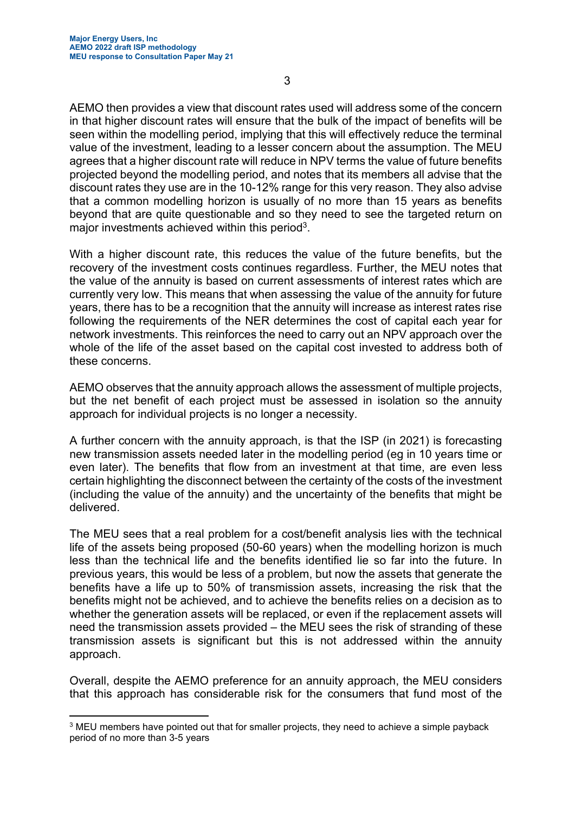AEMO then provides a view that discount rates used will address some of the concern in that higher discount rates will ensure that the bulk of the impact of benefits will be seen within the modelling period, implying that this will effectively reduce the terminal value of the investment, leading to a lesser concern about the assumption. The MEU agrees that a higher discount rate will reduce in NPV terms the value of future benefits projected beyond the modelling period, and notes that its members all advise that the discount rates they use are in the 10-12% range for this very reason. They also advise that a common modelling horizon is usually of no more than 15 years as benefits beyond that are quite questionable and so they need to see the targeted return on major investments achieved within this period<sup>3</sup>.

With a higher discount rate, this reduces the value of the future benefits, but the recovery of the investment costs continues regardless. Further, the MEU notes that the value of the annuity is based on current assessments of interest rates which are currently very low. This means that when assessing the value of the annuity for future years, there has to be a recognition that the annuity will increase as interest rates rise following the requirements of the NER determines the cost of capital each year for network investments. This reinforces the need to carry out an NPV approach over the whole of the life of the asset based on the capital cost invested to address both of these concerns.

AEMO observes that the annuity approach allows the assessment of multiple projects, but the net benefit of each project must be assessed in isolation so the annuity approach for individual projects is no longer a necessity.

A further concern with the annuity approach, is that the ISP (in 2021) is forecasting new transmission assets needed later in the modelling period (eg in 10 years time or even later). The benefits that flow from an investment at that time, are even less certain highlighting the disconnect between the certainty of the costs of the investment (including the value of the annuity) and the uncertainty of the benefits that might be delivered.

The MEU sees that a real problem for a cost/benefit analysis lies with the technical life of the assets being proposed (50-60 years) when the modelling horizon is much less than the technical life and the benefits identified lie so far into the future. In previous years, this would be less of a problem, but now the assets that generate the benefits have a life up to 50% of transmission assets, increasing the risk that the benefits might not be achieved, and to achieve the benefits relies on a decision as to whether the generation assets will be replaced, or even if the replacement assets will need the transmission assets provided – the MEU sees the risk of stranding of these transmission assets is significant but this is not addressed within the annuity approach.

Overall, despite the AEMO preference for an annuity approach, the MEU considers that this approach has considerable risk for the consumers that fund most of the

 $\rm ^3$  MEU members have pointed out that for smaller projects, they need to achieve a simple payback period of no more than 3-5 years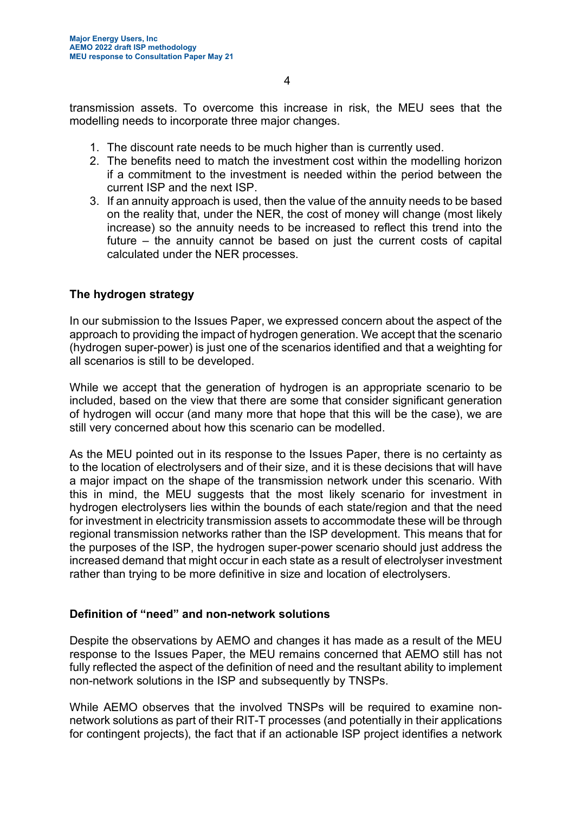transmission assets. To overcome this increase in risk, the MEU sees that the modelling needs to incorporate three major changes.

- 1. The discount rate needs to be much higher than is currently used.
- 2. The benefits need to match the investment cost within the modelling horizon if a commitment to the investment is needed within the period between the current ISP and the next ISP.
- 3. If an annuity approach is used, then the value of the annuity needs to be based on the reality that, under the NER, the cost of money will change (most likely increase) so the annuity needs to be increased to reflect this trend into the future – the annuity cannot be based on just the current costs of capital calculated under the NER processes.

## **The hydrogen strategy**

In our submission to the Issues Paper, we expressed concern about the aspect of the approach to providing the impact of hydrogen generation. We accept that the scenario (hydrogen super-power) is just one of the scenarios identified and that a weighting for all scenarios is still to be developed.

While we accept that the generation of hydrogen is an appropriate scenario to be included, based on the view that there are some that consider significant generation of hydrogen will occur (and many more that hope that this will be the case), we are still very concerned about how this scenario can be modelled.

As the MEU pointed out in its response to the Issues Paper, there is no certainty as to the location of electrolysers and of their size, and it is these decisions that will have a major impact on the shape of the transmission network under this scenario. With this in mind, the MEU suggests that the most likely scenario for investment in hydrogen electrolysers lies within the bounds of each state/region and that the need for investment in electricity transmission assets to accommodate these will be through regional transmission networks rather than the ISP development. This means that for the purposes of the ISP, the hydrogen super-power scenario should just address the increased demand that might occur in each state as a result of electrolyser investment rather than trying to be more definitive in size and location of electrolysers.

## **Definition of "need" and non-network solutions**

Despite the observations by AEMO and changes it has made as a result of the MEU response to the Issues Paper, the MEU remains concerned that AEMO still has not fully reflected the aspect of the definition of need and the resultant ability to implement non-network solutions in the ISP and subsequently by TNSPs.

While AEMO observes that the involved TNSPs will be required to examine nonnetwork solutions as part of their RIT-T processes (and potentially in their applications for contingent projects), the fact that if an actionable ISP project identifies a network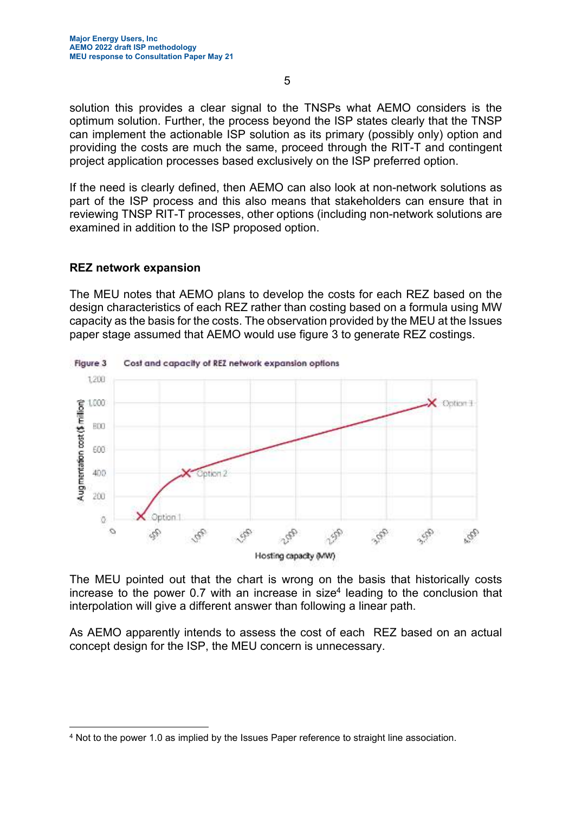solution this provides a clear signal to the TNSPs what AEMO considers is the optimum solution. Further, the process beyond the ISP states clearly that the TNSP can implement the actionable ISP solution as its primary (possibly only) option and providing the costs are much the same, proceed through the RIT-T and contingent project application processes based exclusively on the ISP preferred option.

If the need is clearly defined, then AEMO can also look at non-network solutions as part of the ISP process and this also means that stakeholders can ensure that in reviewing TNSP RIT-T processes, other options (including non-network solutions are examined in addition to the ISP proposed option.

#### **REZ network expansion**

The MEU notes that AEMO plans to develop the costs for each REZ based on the design characteristics of each REZ rather than costing based on a formula using MW capacity as the basis for the costs. The observation provided by the MEU at the Issues paper stage assumed that AEMO would use figure 3 to generate REZ costings.



The MEU pointed out that the chart is wrong on the basis that historically costs increase to the power 0.7 with an increase in size<sup>4</sup> leading to the conclusion that interpolation will give a different answer than following a linear path.

As AEMO apparently intends to assess the cost of each REZ based on an actual concept design for the ISP, the MEU concern is unnecessary.

<sup>4</sup> Not to the power 1.0 as implied by the Issues Paper reference to straight line association.